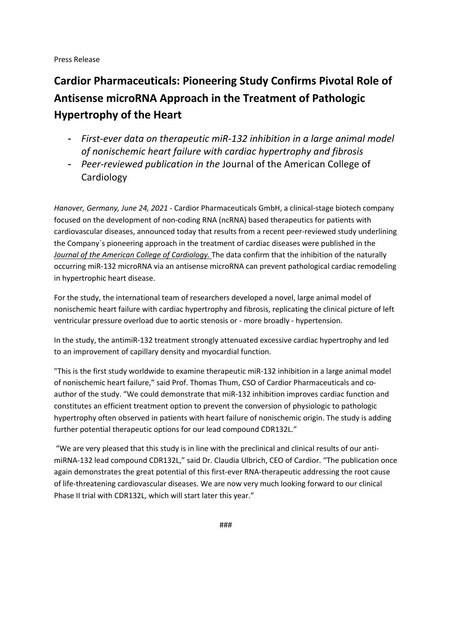### Press Release

# **Cardior Pharmaceuticals: Pioneering Study Confirms Pivotal Role of Antisense microRNA Approach in the Treatment of Pathologic Hypertrophy of the Heart**

- *First-ever data on therapeutic miR-132 inhibition in a large animal model of nonischemic heart failure with cardiac hypertrophy and fibrosis*
- *Peer-reviewed publication in the* Journal of the American College of Cardiology

*Hanover, Germany, June 24, 2021* - Cardior Pharmaceuticals GmbH, a clinical-stage biotech company focused on the development of non-coding RNA (ncRNA) based therapeutics for patients with cardiovascular diseases, announced today that results from a recent peer-reviewed study underlining the Company´s pioneering approach in the treatment of cardiac diseases were published in the *Journal of the American College of Cardiology.* The data confirm that the inhibition of the naturally occurring miR-132 microRNA via an antisense microRNA can prevent pathological cardiac remodeling in hypertrophic heart disease.

For the study, the international team of researchers developed a novel, large animal model of nonischemic heart failure with cardiac hypertrophy and fibrosis, replicating the clinical picture of left ventricular pressure overload due to aortic stenosis or - more broadly - hypertension.

In the study, the antimiR-132 treatment strongly attenuated excessive cardiac hypertrophy and led to an improvement of capillary density and myocardial function.

"This is the first study worldwide to examine therapeutic miR-132 inhibition in a large animal model of nonischemic heart failure," said Prof. Thomas Thum, CSO of Cardior Pharmaceuticals and coauthor of the study. "We could demonstrate that miR-132 inhibition improves cardiac function and constitutes an efficient treatment option to prevent the conversion of physiologic to pathologic hypertrophy often observed in patients with heart failure of nonischemic origin. The study is adding further potential therapeutic options for our lead compound CDR132L."

"We are very pleased that this study is in line with the preclinical and clinical results of our antimiRNA-132 lead compound CDR132L," said Dr. Claudia Ulbrich, CEO of Cardior. "The publication once again demonstrates the great potential of this first-ever RNA-therapeutic addressing the root cause of life-threatening cardiovascular diseases. We are now very much looking forward to our clinical Phase II trial with CDR132L, which will start later this year."